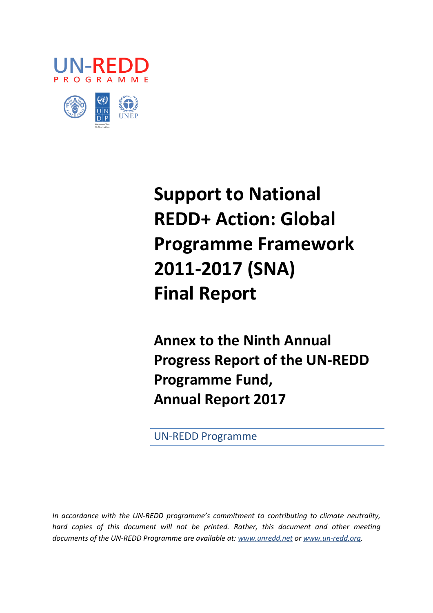



# **Support to National REDD+ Action: Global Programme Framework 2011-2017 (SNA) Final Report**

**Annex to the Ninth Annual Progress Report of the UN-REDD Programme Fund, Annual Report 2017**

UN-REDD Programme

*In accordance with the UN-REDD programme's commitment to contributing to climate neutrality,*  hard copies of this document will not be printed. Rather, this document and other meeting *documents of the UN-REDD Programme are available at: [www.unredd.net](http://www.unredd.net/) or [www.un-redd.org.](http://www.un-redd.org/)*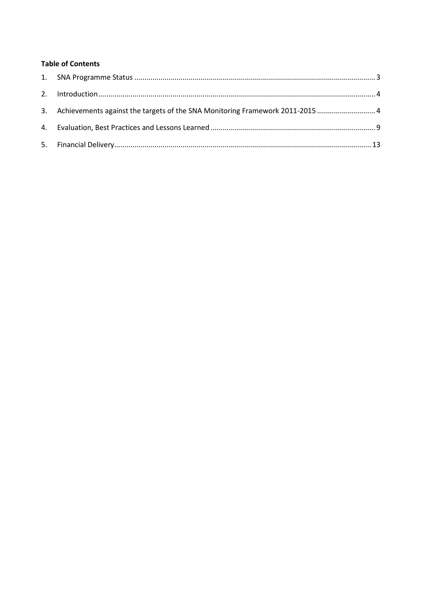# **Table of Contents**

| 3. Achievements against the targets of the SNA Monitoring Framework 2011-2015 |  |
|-------------------------------------------------------------------------------|--|
|                                                                               |  |
|                                                                               |  |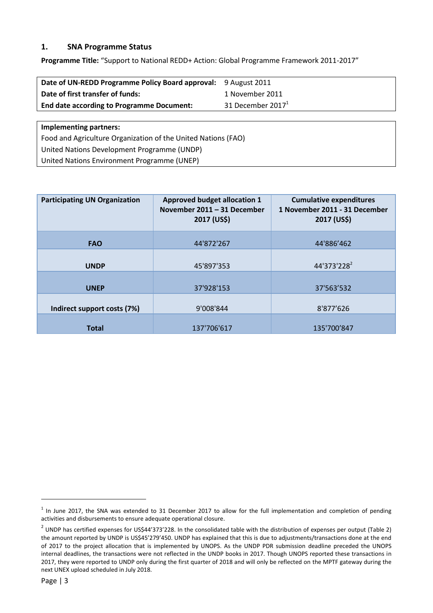# <span id="page-2-0"></span>**1. SNA Programme Status**

**Programme Title:** "Support to National REDD+ Action: Global Programme Framework 2011-2017"

| Date of UN-REDD Programme Policy Board approval: 9 August 2011 |                      |
|----------------------------------------------------------------|----------------------|
| Date of first transfer of funds:                               | 1 November 2011      |
| <b>End date according to Programme Document:</b>               | 31 December 2017 $1$ |
|                                                                |                      |

**Implementing partners:**

Food and Agriculture Organization of the United Nations (FAO) United Nations Development Programme (UNDP) United Nations Environment Programme (UNEP)

| <b>Participating UN Organization</b> | <b>Approved budget allocation 1</b><br>November 2011 - 31 December<br>2017 (US\$) | <b>Cumulative expenditures</b><br>1 November 2011 - 31 December<br>2017 (US\$) |  |  |  |
|--------------------------------------|-----------------------------------------------------------------------------------|--------------------------------------------------------------------------------|--|--|--|
| <b>FAO</b>                           | 44'872'267                                                                        | 44'886'462                                                                     |  |  |  |
| <b>UNDP</b>                          | 45'897'353                                                                        | 44'373'228 <sup>2</sup>                                                        |  |  |  |
| <b>UNEP</b>                          | 37'928'153                                                                        | 37'563'532                                                                     |  |  |  |
| Indirect support costs (7%)          | 9'008'844                                                                         | 8'877'626                                                                      |  |  |  |
| <b>Total</b>                         | 137'706'617                                                                       | 135'700'847                                                                    |  |  |  |

**.** 

 $1$  In June 2017, the SNA was extended to 31 December 2017 to allow for the full implementation and completion of pending activities and disbursements to ensure adequate operational closure.

 $^2$  UNDP has certified expenses for US\$44'373'228. In the consolidated table with the distribution of expenses per output (Table 2) the amount reported by UNDP is US\$45'279'450. UNDP has explained that this is due to adjustments/transactions done at the end of 2017 to the project allocation that is implemented by UNOPS. As the UNDP PDR submission deadline preceded the UNOPS internal deadlines, the transactions were not reflected in the UNDP books in 2017. Though UNOPS reported these transactions in 2017, they were reported to UNDP only during the first quarter of 2018 and will only be reflected on the MPTF gateway during the next UNEX upload scheduled in July 2018.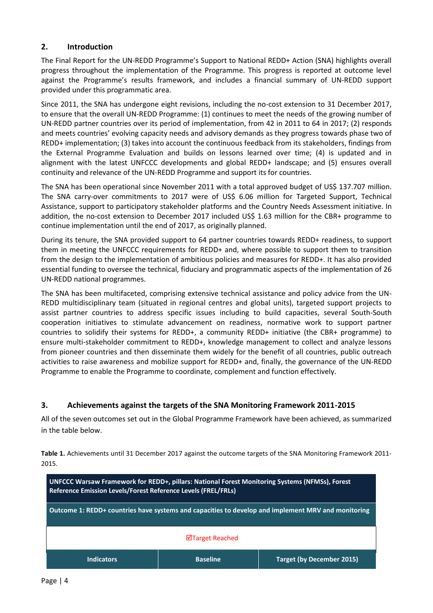# <span id="page-3-0"></span>**2. Introduction**

The Final Report for the UN-REDD Programme's Support to National REDD+ Action (SNA) highlights overall progress throughout the implementation of the Programme. This progress is reported at outcome level against the Programme's results framework, and includes a financial summary of UN-REDD support provided under this programmatic area.

Since 2011, the SNA has undergone eight revisions, including the no-cost extension to 31 December 2017, to ensure that the overall UN-REDD Programme: (1) continues to meet the needs of the growing number of UN-REDD partner countries over its period of implementation, from 42 in 2011 to 64 in 2017; (2) responds and meets countries' evolving capacity needs and advisory demands as they progress towards phase two of REDD+ implementation; (3) takes into account the continuous feedback from its stakeholders, findings from the External Programme Evaluation and builds on lessons learned over time; (4) is updated and in alignment with the latest UNFCCC developments and global REDD+ landscape; and (5) ensures overall continuity and relevance of the UN-REDD Programme and support its for countries.

The SNA has been operational since November 2011 with a total approved budget of US\$ 137.707 million. The SNA carry-over commitments to 2017 were of US\$ 6.06 million for Targeted Support, Technical Assistance, support to participatory stakeholder platforms and the Country Needs Assessment initiative. In addition, the no-cost extension to December 2017 included US\$ 1.63 million for the CBR+ programme to continue implementation until the end of 2017, as originally planned.

During its tenure, the SNA provided support to 64 partner countries towards REDD+ readiness, to support them in meeting the UNFCCC requirements for REDD+ and, where possible to support them to transition from the design to the implementation of ambitious policies and measures for REDD+. It has also provided essential funding to oversee the technical, fiduciary and programmatic aspects of the implementation of 26 UN-REDD national programmes.

The SNA has been multifaceted, comprising extensive technical assistance and policy advice from the UN-REDD multidisciplinary team (situated in regional centres and global units), targeted support projects to assist partner countries to address specific issues including to build capacities, several South-South cooperation initiatives to stimulate advancement on readiness, normative work to support partner countries to solidify their systems for REDD+, a community REDD+ initiative (the CBR+ programme) to ensure multi-stakeholder commitment to REDD+, knowledge management to collect and analyze lessons from pioneer countries and then disseminate them widely for the benefit of all countries, public outreach activities to raise awareness and mobilize support for REDD+ and, finally, the governance of the UN-REDD Programme to enable the Programme to coordinate, complement and function effectively.

# <span id="page-3-1"></span>**3. Achievements against the targets of the SNA Monitoring Framework 2011-2015**

All of the seven outcomes set out in the Global Programme Framework have been achieved, as summarized in the table below.

**Table 1.** Achievements until 31 December 2017 against the outcome targets of the SNA Monitoring Framework 2011- 2015.

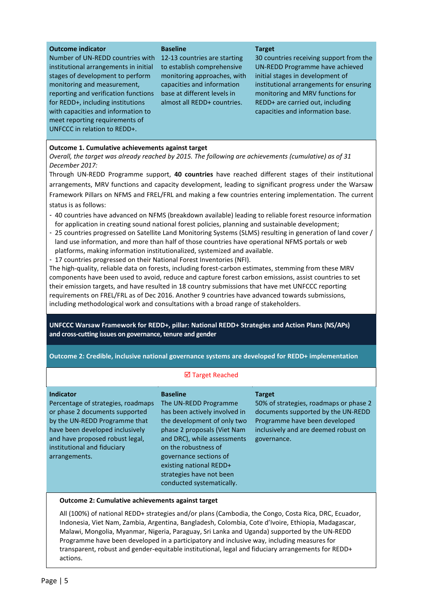| <b>Outcome indicator</b><br>Number of UN-REDD countries with<br>institutional arrangements in initial<br>stages of development to perform<br>monitoring and measurement,<br>reporting and verification functions<br>for REDD+, including institutions<br>with capacities and information to<br>meet reporting requirements of<br>UNFCCC in relation to REDD+.                                                                                                                                                                                                                                                                                                                                                                                                                                                                                                                                                                                                                                                                                                                                                                                                                                                                                                                                                                                                                                                                                                                                                                                                                                                                                         | <b>Baseline</b><br>12-13 countries are starting<br>to establish comprehensive<br>monitoring approaches, with<br>capacities and information<br>base at different levels in<br>almost all REDD+ countries. | <b>Target</b><br>30 countries receiving support from the<br>UN-REDD Programme have achieved<br>initial stages in development of<br>institutional arrangements for ensuring<br>monitoring and MRV functions for<br>REDD+ are carried out, including<br>capacities and information base. |  |  |  |  |  |  |  |
|-------------------------------------------------------------------------------------------------------------------------------------------------------------------------------------------------------------------------------------------------------------------------------------------------------------------------------------------------------------------------------------------------------------------------------------------------------------------------------------------------------------------------------------------------------------------------------------------------------------------------------------------------------------------------------------------------------------------------------------------------------------------------------------------------------------------------------------------------------------------------------------------------------------------------------------------------------------------------------------------------------------------------------------------------------------------------------------------------------------------------------------------------------------------------------------------------------------------------------------------------------------------------------------------------------------------------------------------------------------------------------------------------------------------------------------------------------------------------------------------------------------------------------------------------------------------------------------------------------------------------------------------------------|----------------------------------------------------------------------------------------------------------------------------------------------------------------------------------------------------------|----------------------------------------------------------------------------------------------------------------------------------------------------------------------------------------------------------------------------------------------------------------------------------------|--|--|--|--|--|--|--|
| Outcome 1. Cumulative achievements against target<br>Overall, the target was already reached by 2015. The following are achievements (cumulative) as of 31<br>December 2017:<br>Through UN-REDD Programme support, 40 countries have reached different stages of their institutional<br>arrangements, MRV functions and capacity development, leading to significant progress under the Warsaw<br>Framework Pillars on NFMS and FREL/FRL and making a few countries entering implementation. The current<br>status is as follows:<br>- 40 countries have advanced on NFMS (breakdown available) leading to reliable forest resource information<br>for application in creating sound national forest policies, planning and sustainable development;<br>- 25 countries progressed on Satellite Land Monitoring Systems (SLMS) resulting in generation of land cover /<br>land use information, and more than half of those countries have operational NFMS portals or web<br>platforms, making information institutionalized, systemized and available.<br>- 17 countries progressed on their National Forest Inventories (NFI).<br>The high-quality, reliable data on forests, including forest-carbon estimates, stemming from these MRV<br>components have been used to avoid, reduce and capture forest carbon emissions, assist countries to set<br>their emission targets, and have resulted in 18 country submissions that have met UNFCCC reporting<br>requirements on FREL/FRL as of Dec 2016. Another 9 countries have advanced towards submissions,<br>including methodological work and consultations with a broad range of stakeholders. |                                                                                                                                                                                                          |                                                                                                                                                                                                                                                                                        |  |  |  |  |  |  |  |
| UNFCCC Warsaw Framework for REDD+, pillar: National REDD+ Strategies and Action Plans (NS/APs)<br>and cross-cutting issues on governance, tenure and gender                                                                                                                                                                                                                                                                                                                                                                                                                                                                                                                                                                                                                                                                                                                                                                                                                                                                                                                                                                                                                                                                                                                                                                                                                                                                                                                                                                                                                                                                                           |                                                                                                                                                                                                          |                                                                                                                                                                                                                                                                                        |  |  |  |  |  |  |  |
| Outcome 2: Credible, inclusive national governance systems are developed for REDD+ implementation                                                                                                                                                                                                                                                                                                                                                                                                                                                                                                                                                                                                                                                                                                                                                                                                                                                                                                                                                                                                                                                                                                                                                                                                                                                                                                                                                                                                                                                                                                                                                     |                                                                                                                                                                                                          |                                                                                                                                                                                                                                                                                        |  |  |  |  |  |  |  |
| ☑ Target Reached                                                                                                                                                                                                                                                                                                                                                                                                                                                                                                                                                                                                                                                                                                                                                                                                                                                                                                                                                                                                                                                                                                                                                                                                                                                                                                                                                                                                                                                                                                                                                                                                                                      |                                                                                                                                                                                                          |                                                                                                                                                                                                                                                                                        |  |  |  |  |  |  |  |

**Indicator**

Percentage of strategies, roadmaps or phase 2 documents supported by the UN-REDD Programme that have been developed inclusively and have proposed robust legal, institutional and fiduciary arrangements.

**Baseline** The UN-REDD Programme has been actively involved in the development of only two phase 2 proposals (Viet Nam and DRC), while assessments on the robustness of governance sections of existing national REDD+ strategies have not been conducted systematically.

#### **Target**

50% of strategies, roadmaps or phase 2 documents supported by the UN-REDD Programme have been developed inclusively and are deemed robust on governance.

#### **Outcome 2: Cumulative achievements against target**

All (100%) of national REDD+ strategies and/or plans (Cambodia, the Congo, Costa Rica, DRC, Ecuador, Indonesia, Viet Nam, Zambia, Argentina, Bangladesh, Colombia, Cote d'Ivoire, Ethiopia, Madagascar, Malawi, Mongolia, Myanmar, Nigeria, Paraguay, Sri Lanka and Uganda) supported by the UN-REDD Programme have been developed in a participatory and inclusive way, including measures for transparent, robust and gender-equitable institutional, legal and fiduciary arrangements for REDD+ actions.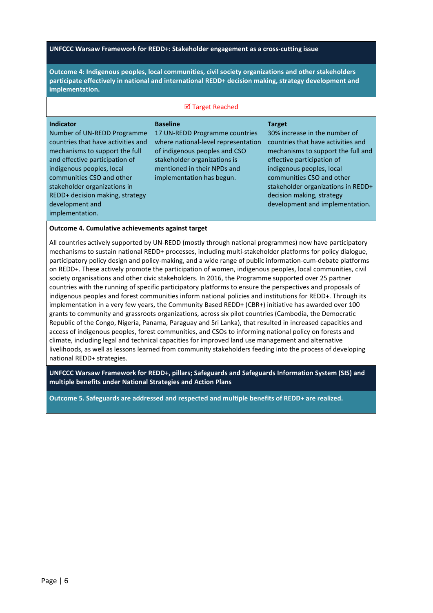#### **UNFCCC Warsaw Framework for REDD+: Stakeholder engagement as a cross-cutting issue**

**Outcome 4: Indigenous peoples, local communities, civil society organizations and other stakeholders participate effectively in national and international REDD+ decision making, strategy development and implementation.**

#### **Ø Target Reached**

| <b>Indicator</b><br>Number of UN-REDD Programme<br>countries that have activities and<br>mechanisms to support the full<br>and effective participation of<br>indigenous peoples, local<br>communities CSO and other<br>stakeholder organizations in<br>REDD+ decision making, strategy<br>development and<br>implementation. | <b>Baseline</b><br>17 UN-REDD Programme countries<br>where national-level representation<br>of indigenous peoples and CSO<br>stakeholder organizations is<br>mentioned in their NPDs and<br>implementation has begun. | <b>Target</b><br>30% increase in the number of<br>countries that have activities and<br>mechanisms to support the full and<br>effective participation of<br>indigenous peoples, local<br>communities CSO and other<br>stakeholder organizations in REDD+<br>decision making, strategy<br>development and implementation. |
|------------------------------------------------------------------------------------------------------------------------------------------------------------------------------------------------------------------------------------------------------------------------------------------------------------------------------|-----------------------------------------------------------------------------------------------------------------------------------------------------------------------------------------------------------------------|--------------------------------------------------------------------------------------------------------------------------------------------------------------------------------------------------------------------------------------------------------------------------------------------------------------------------|
|                                                                                                                                                                                                                                                                                                                              |                                                                                                                                                                                                                       |                                                                                                                                                                                                                                                                                                                          |

#### **Outcome 4. Cumulative achievements against target**

All countries actively supported by UN-REDD (mostly through national programmes) now have participatory mechanisms to sustain national REDD+ processes, including multi-stakeholder platforms for policy dialogue, participatory policy design and policy-making, and a wide range of public information-cum-debate platforms on REDD+. These actively promote the participation of women, indigenous peoples, local communities, civil society organisations and other civic stakeholders. In 2016, the Programme supported over 25 partner countries with the running of specific participatory platforms to ensure the perspectives and proposals of indigenous peoples and forest communities inform national policies and institutions for REDD+. Through its implementation in a very few years, the Community Based REDD+ (CBR+) initiative has awarded over 100 grants to community and grassroots organizations, across six pilot countries (Cambodia, the Democratic Republic of the Congo, Nigeria, Panama, Paraguay and Sri Lanka), that resulted in increased capacities and access of indigenous peoples, forest communities, and CSOs to informing national policy on forests and climate, including legal and technical capacities for improved land use management and alternative livelihoods, as well as lessons learned from community stakeholders feeding into the process of developing national REDD+ strategies.

**UNFCCC Warsaw Framework for REDD+, pillars; Safeguards and Safeguards Information System (SIS) and multiple benefits under National Strategies and Action Plans**

**Outcome 5. Safeguards are addressed and respected and multiple benefits of REDD+ are realized.**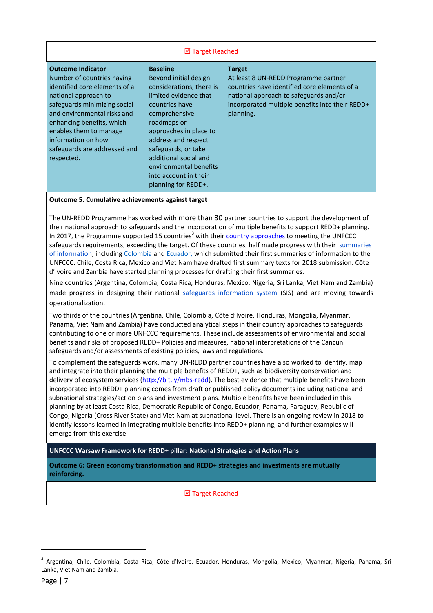#### **Ø Target Reached**

| <b>Outcome Indicator</b><br>Number of countries having<br>identified core elements of a<br>national approach to<br>safeguards minimizing social<br>and environmental risks and<br>enhancing benefits, which<br>enables them to manage<br>information on how<br>safeguards are addressed and<br>respected. | <b>Baseline</b><br>Beyond initial design<br>considerations, there is<br>limited evidence that<br>countries have<br>comprehensive<br>roadmaps or<br>approaches in place to<br>address and respect<br>safeguards, or take<br>additional social and<br>environmental benefits<br>into account in their | <b>Target</b><br>At least 8 UN-REDD Programme partner<br>countries have identified core elements of a<br>national approach to safeguards and/or<br>incorporated multiple benefits into their REDD+<br>planning. |
|-----------------------------------------------------------------------------------------------------------------------------------------------------------------------------------------------------------------------------------------------------------------------------------------------------------|-----------------------------------------------------------------------------------------------------------------------------------------------------------------------------------------------------------------------------------------------------------------------------------------------------|-----------------------------------------------------------------------------------------------------------------------------------------------------------------------------------------------------------------|
|                                                                                                                                                                                                                                                                                                           | planning for REDD+.                                                                                                                                                                                                                                                                                 |                                                                                                                                                                                                                 |

#### **Outcome 5. Cumulative achievements against target**

The UN-REDD Programme has worked with more than 30 partner countries to support the development of their national approach to safeguards and the incorporation of multiple benefits to support REDD+ planning. In 2017, the Programme supported 15 countries<sup>3</sup> with their [country approaches t](http://www.unredd.net/index.php?view=document&alias=11892-un-redd-framework-for-supporting-the-development-of-country-approaches-to-safeguards-en-11892&category_slug=studies-reports-and-publications-1364&layout=default&option=com_docman&Itemid=134)o meeting the UNFCCC safeguards requirements, exceeding the target. Of these countries, half made progress with their [summaries](http://www.unredd.net/documents/global-programme-191/safeguards-multiple-benefits-297/15299-info-brief-summaries-of-information-1-en.html)  [of information,](http://www.unredd.net/documents/global-programme-191/safeguards-multiple-benefits-297/15299-info-brief-summaries-of-information-1-en.html) includin[g Colombia](http://unfccc.int/resource/podcast/nc2/colombia_nc3.zip) and [Ecuador,](http://redd.unfccc.int/files/ecuador_first_sis_summary.pdf) which submitted their first summaries of information to the UNFCCC. Chile, Costa Rica, Mexico and Viet Nam have drafted first summary texts for 2018 submission. Côte d'Ivoire and Zambia have started planning processes for drafting their first summaries.

Nine countries (Argentina, Colombia, Costa Rica, Honduras, Mexico, Nigeria, Sri Lanka, Viet Nam and Zambia) made progress in designing their national [safeguards information system](http://www.unredd.net/index.php?view=document&alias=15043-technical-resource-series-1-redd-safeguards-information-systems-practical-design-considerations&category_slug=technical-resources-series&layout=default&option=com_docman&Itemid=134) (SIS) and are moving towards operationalization.

Two thirds of the countries (Argentina, Chile, Colombia, Côte d'Ivoire, Honduras, Mongolia, Myanmar, Panama, Viet Nam and Zambia) have conducted analytical steps in their country approaches to safeguards contributing to one or more UNFCCC requirements. These include assessments of environmental and social benefits and risks of proposed REDD+ Policies and measures, national interpretations of the Cancun safeguards and/or assessments of existing policies, laws and regulations.

To complement the safeguards work, many UN-REDD partner countries have also worked to identify, map and integrate into their planning the multiple benefits of REDD+, such as biodiversity conservation and delivery of ecosystem services [\(http://bit.ly/mbs-redd\)](http://bit.ly/mbs-redd). The best evidence that multiple benefits have been incorporated into REDD+ planning comes from draft or published policy documents including national and subnational strategies/action plans and investment plans. Multiple benefits have been included in this planning by at least Costa Rica, Democratic Republic of Congo, Ecuador, Panama, Paraguay, Republic of Congo, Nigeria (Cross River State) and Viet Nam at subnational level. There is an ongoing review in 2018 to identify lessons learned in integrating multiple benefits into REDD+ planning, and further examples will emerge from this exercise.

**UNFCCC Warsaw Framework for REDD+ pillar: National Strategies and Action Plans**

**Outcome 6: Green economy transformation and REDD+ strategies and investments are mutually reinforcing.**

**Ø** Target Reached

 $\overline{a}$ 

<sup>&</sup>lt;sup>3</sup> Argentina, Chile, Colombia, Costa Rica, Côte d'Ivoire, Ecuador, Honduras, Mongolia, Mexico, Myanmar, Nigeria, Panama, Sri Lanka, Viet Nam and Zambia.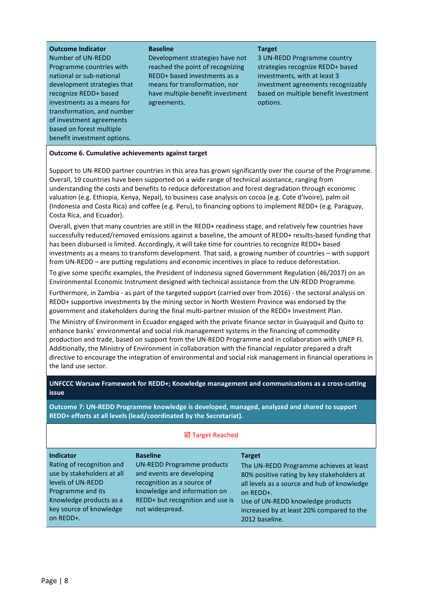| <b>Outcome Indicator</b><br>Number of UN-REDD<br>Programme countries with<br>national or sub-national<br>development strategies that<br>recognize REDD+ based<br>investments as a means for<br>transformation, and number<br>of investment agreements<br>based on forest multiple<br>benefit investment options. | <b>Baseline</b><br>Development strategies have not<br>reached the point of recognizing<br>REDD+ based investments as a<br>means for transformation, nor<br>have multiple-benefit investment<br>agreements. | <b>Target</b><br>3 UN-REDD Programme country<br>strategies recognize REDD+ based<br>investments, with at least 3<br>investment agreements recognizably<br>based on multiple benefit investment<br>options. |
|------------------------------------------------------------------------------------------------------------------------------------------------------------------------------------------------------------------------------------------------------------------------------------------------------------------|------------------------------------------------------------------------------------------------------------------------------------------------------------------------------------------------------------|------------------------------------------------------------------------------------------------------------------------------------------------------------------------------------------------------------|
|                                                                                                                                                                                                                                                                                                                  |                                                                                                                                                                                                            |                                                                                                                                                                                                            |

#### **Outcome 6. Cumulative achievements against target**

Support to UN-REDD partner countries in this area has grown significantly over the course of the Programme. Overall, 19 countries have been supported on a wide range of technical assistance, ranging from understanding the costs and benefits to reduce deforestation and forest degradation through economic valuation (e.g. Ethiopia, Kenya, Nepal), to business case analysis on cocoa (e.g. Cote d'Ivoire), palm oil (Indonesia and Costa Rica) and coffee (e.g. Peru), to financing options to implement REDD+ (e.g. Paraguay, Costa Rica, and Ecuador).

Overall, given that many countries are still in the REDD+ readiness stage, and relatively few countries have successfully reduced/removed emissions against a baseline, the amount of REDD+ results-based funding that has been disbursed is limited. Accordingly, it will take time for countries to recognize REDD+ based investments as a means to transform development. That said, a growing number of countries – with support from UN-REDD – are putting regulations and economic incentives in place to reduce deforestation.

To give some specific examples, the President of Indonesia signed Government Regulation (46/2017) on an Environmental Economic Instrument designed with technical assistance from the UN-REDD Programme.

Furthermore, in Zambia - as part of the targeted support (carried over from 2016) - the sectoral analysis on REDD+ supportive investments by the mining sector in North Western Province was endorsed by the government and stakeholders during the final multi-partner mission of the REDD+ Investment Plan.

The Ministry of Environment in Ecuador engaged with the private finance sector in Guayaquil and Quito to enhance banks' environmental and social risk management systems in the financing of commodity production and trade, based on support from the UN-REDD Programme and in collaboration with UNEP FI. Additionally, the Ministry of Environment in collaboration with the financial regulator prepared a draft directive to encourage the integration of environmental and social risk management in financial operations in the land use sector.

**UNFCCC Warsaw Framework for REDD+; Knowledge management and communications as a cross-cutting issue**

**Outcome 7: UN-REDD Programme knowledge is developed, managed, analyzed and shared to support REDD+ efforts at all levels (lead/coordinated by the Secretariat).**

| <b>Indicator</b><br>Rating of recognition and<br>use by stakeholders at all<br>levels of UN-REDD<br>Programme and its<br>Knowledge products as a<br>key source of knowledge<br>on REDD+. | <b>Baseline</b><br><b>UN-REDD Programme products</b><br>and events are developing<br>recognition as a source of<br>knowledge and information on<br>REDD+ but recognition and use is<br>not widespread. | <b>Target</b><br>The UN-REDD Programme achieves at least<br>80% positive rating by key stakeholders at<br>all levels as a source and hub of knowledge<br>on REDD+.<br>Use of UN-REDD knowledge products<br>increased by at least 20% compared to the<br>2012 baseline. |
|------------------------------------------------------------------------------------------------------------------------------------------------------------------------------------------|--------------------------------------------------------------------------------------------------------------------------------------------------------------------------------------------------------|------------------------------------------------------------------------------------------------------------------------------------------------------------------------------------------------------------------------------------------------------------------------|

#### ■ Target Reached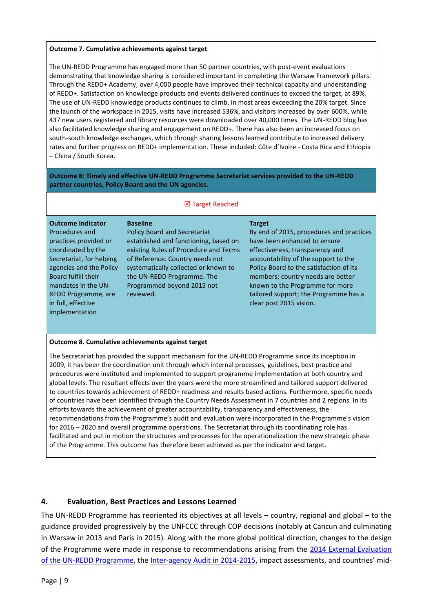#### **Outcome 7. Cumulative achievements against target**

The UN-REDD Programme has engaged more than 50 partner countries, with post-event evaluations demonstrating that knowledge sharing is considered important in completing the Warsaw Framework pillars. Through the REDD+ Academy, over 4,000 people have improved their technical capacity and understanding of REDD+. Satisfaction on knowledge products and events delivered continues to exceed the target, at 89%. The use of UN-REDD knowledge products continues to climb, in most areas exceeding the 20% target. Since the launch of the workspace in 2015, visits have increased 536%, and visitors increased by over 600%, while 437 new users registered and library resources were downloaded over 40,000 times. The UN-REDD blog has also facilitated knowledge sharing and engagement on REDD+. There has also been an increased focus on south-south knowledge exchanges, which through sharing lessons learned contribute to increased delivery rates and further progress on REDD+ implementation. These included: Côte d'Ivoire - Costa Rica and Ethiopia – China / South Korea.

**Outcome 8: Timely and effective UN-REDD Programme Secretariat services provided to the UN-REDD partner countries, Policy Board and the UN agencies.**

### ■ Target Reached

#### **Outcome Indicator**

Procedures and practices provided or coordinated by the Secretariat, for helping agencies and the Policy Board fulfill their mandates in the UN-REDD Programme, are in full, effective implementation

**Baseline** Policy Board and Secretariat established and functioning, based on existing Rules of Procedure and Terms of Reference. Country needs not systematically collected or known to the UN-REDD Programme. The Programmed beyond 2015 not reviewed.

#### **Target**

By end of 2015, procedures and practices have been enhanced to ensure effectiveness, transparency and accountability of the support to the Policy Board to the satisfaction of its members; country needs are better known to the Programme for more tailored support; the Programme has a clear post 2015 vision.

#### **Outcome 8. Cumulative achievements against target**

The Secretariat has provided the support mechanism for the UN-REDD Programme since its inception in 2009, it has been the coordination unit through which internal processes, guidelines, best practice and procedures were instituted and implemented to support programme implementation at both country and global levels. The resultant effects over the years were the more streamlined and tailored support delivered to countries towards achievement of REDD+ readiness and results based actions. Furthermore, specific needs of countries have been identified through the Country Needs Assessment in 7 countries and 2 regions. In its efforts towards the achievement of greater accountability, transparency and effectiveness, the recommendations from the Programme's audit and evaluation were incorporated in the Programme's vision for 2016 – 2020 and overall programme operations. The Secretariat through its coordinating role has facilitated and put in motion the structures and processes for the operationalization the new strategic phase of the Programme. This outcome has therefore been achieved as per the indicator and target.

#### <span id="page-8-0"></span>**4. Evaluation, Best Practices and Lessons Learned**

The UN-REDD Programme has reoriented its objectives at all levels – country, regional and global – to the guidance provided progressively by the UNFCCC through COP decisions (notably at Cancun and culminating in Warsaw in 2013 and Paris in 2015). Along with the more global political direction, changes to the design of the Programme were made in response to recommendations arising from the [2014 External Evaluation](https://www.unredd.net/documents/global-programme-191/un-redd-programme-evaluation-3266.html)  [of the UN-REDD Programme,](https://www.unredd.net/documents/global-programme-191/un-redd-programme-evaluation-3266.html) the [Inter-agency Audit in 2014-2015](http://audit-public-disclosure.undp.org/view_audit_rpt_2.cfm?audit_id=1561), impact assessments, and countries' mid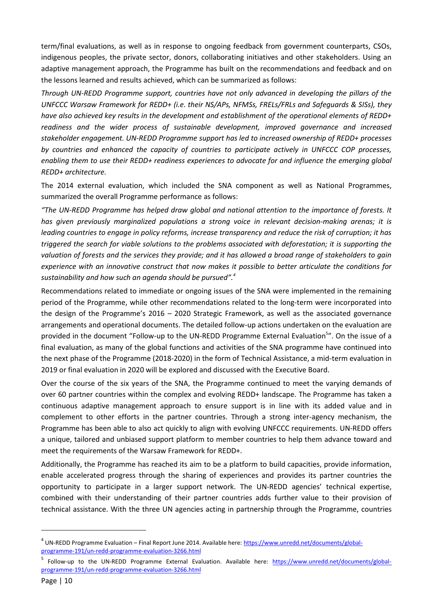term/final evaluations, as well as in response to ongoing feedback from government counterparts, CSOs, indigenous peoples, the private sector, donors, collaborating initiatives and other stakeholders. Using an adaptive management approach, the Programme has built on the recommendations and feedback and on the lessons learned and results achieved, which can be summarized as follows:

*Through UN-REDD Programme support, countries have not only advanced in developing the pillars of the UNFCCC Warsaw Framework for REDD+ (i.e. their NS/APs, NFMSs, FRELs/FRLs and Safeguards & SISs), they have also achieved key results in the development and establishment of the operational elements of REDD+ readiness and the wider process of sustainable development, improved governance and increased stakeholder engagement. UN-REDD Programme support has led to increased ownership of REDD+ processes by countries and enhanced the capacity of countries to participate actively in UNFCCC COP processes, enabling them to use their REDD+ readiness experiences to advocate for and influence the emerging global REDD+ architecture.* 

The 2014 external evaluation, which included the SNA component as well as National Programmes, summarized the overall Programme performance as follows:

*"The UN-REDD Programme has helped draw global and national attention to the importance of forests. It has given previously marginalized populations a strong voice in relevant decision-making arenas; it is leading countries to engage in policy reforms, increase transparency and reduce the risk of corruption; it has triggered the search for viable solutions to the problems associated with deforestation; it is supporting the valuation of forests and the services they provide; and it has allowed a broad range of stakeholders to gain experience with an innovative construct that now makes it possible to better articulate the conditions for sustainability and how such an agenda should be pursued".<sup>4</sup>*

Recommendations related to immediate or ongoing issues of the SNA were implemented in the remaining period of the Programme, while other recommendations related to the long-term were incorporated into the design of the Programme's 2016 – 2020 Strategic Framework, as well as the associated governance arrangements and operational documents. The detailed follow-up actions undertaken on the evaluation are provided in the document "Follow-up to the UN-REDD Programme External Evaluation<sup>5</sup>". On the issue of a final evaluation, as many of the global functions and activities of the SNA programme have continued into the next phase of the Programme (2018-2020) in the form of Technical Assistance, a mid-term evaluation in 2019 or final evaluation in 2020 will be explored and discussed with the Executive Board.

Over the course of the six years of the SNA, the Programme continued to meet the varying demands of over 60 partner countries within the complex and evolving REDD+ landscape. The Programme has taken a continuous adaptive management approach to ensure support is in line with its added value and in complement to other efforts in the partner countries. Through a strong inter-agency mechanism, the Programme has been able to also act quickly to align with evolving UNFCCC requirements. UN-REDD offers a unique, tailored and unbiased support platform to member countries to help them advance toward and meet the requirements of the Warsaw Framework for REDD+.

Additionally, the Programme has reached its aim to be a platform to build capacities, provide information, enable accelerated progress through the sharing of experiences and provides its partner countries the opportunity to participate in a larger support network. The UN-REDD agencies' technical expertise, combined with their understanding of their partner countries adds further value to their provision of technical assistance. With the three UN agencies acting in partnership through the Programme, countries

**.** 

<sup>&</sup>lt;sup>4</sup> UN-REDD Programme Evaluation – Final Report June 2014. Available here: [https://www.unredd.net/documents/global](https://www.unredd.net/documents/global-programme-191/un-redd-programme-evaluation-3266.html)[programme-191/un-redd-programme-evaluation-3266.html](https://www.unredd.net/documents/global-programme-191/un-redd-programme-evaluation-3266.html)

<sup>5</sup> Follow-up to the UN-REDD Programme External Evaluation. Available here: [https://www.unredd.net/documents/global](https://www.unredd.net/documents/global-programme-191/un-redd-programme-evaluation-3266.html)[programme-191/un-redd-programme-evaluation-3266.html](https://www.unredd.net/documents/global-programme-191/un-redd-programme-evaluation-3266.html)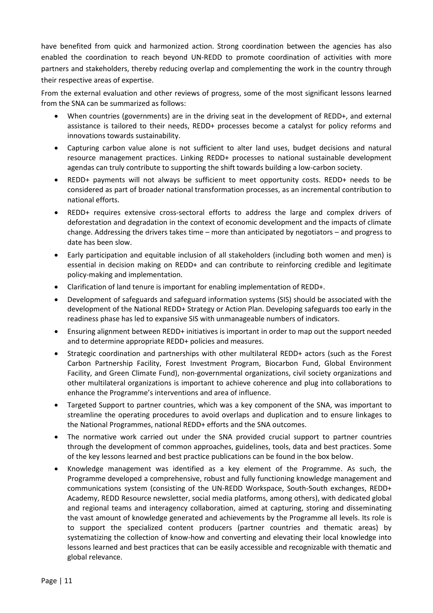have benefited from quick and harmonized action. Strong coordination between the agencies has also enabled the coordination to reach beyond UN-REDD to promote coordination of activities with more partners and stakeholders, thereby reducing overlap and complementing the work in the country through their respective areas of expertise.

From the external evaluation and other reviews of progress, some of the most significant lessons learned from the SNA can be summarized as follows:

- When countries (governments) are in the driving seat in the development of REDD+, and external assistance is tailored to their needs, REDD+ processes become a catalyst for policy reforms and innovations towards sustainability.
- Capturing carbon value alone is not sufficient to alter land uses, budget decisions and natural resource management practices. Linking REDD+ processes to national sustainable development agendas can truly contribute to supporting the shift towards building a low-carbon society.
- REDD+ payments will not always be sufficient to meet opportunity costs. REDD+ needs to be considered as part of broader national transformation processes, as an incremental contribution to national efforts.
- REDD+ requires extensive cross-sectoral efforts to address the large and complex drivers of deforestation and degradation in the context of economic development and the impacts of climate change. Addressing the drivers takes time – more than anticipated by negotiators – and progress to date has been slow.
- Early participation and equitable inclusion of all stakeholders (including both women and men) is essential in decision making on REDD+ and can contribute to reinforcing credible and legitimate policy-making and implementation.
- Clarification of land tenure is important for enabling implementation of REDD+.
- Development of safeguards and safeguard information systems (SIS) should be associated with the development of the National REDD+ Strategy or Action Plan. Developing safeguards too early in the readiness phase has led to expansive SIS with unmanageable numbers of indicators.
- Ensuring alignment between REDD+ initiatives is important in order to map out the support needed and to determine appropriate REDD+ policies and measures.
- Strategic coordination and partnerships with other multilateral REDD+ actors (such as the Forest Carbon Partnership Facility, Forest Investment Program, Biocarbon Fund, Global Environment Facility, and Green Climate Fund), non-governmental organizations, civil society organizations and other multilateral organizations is important to achieve coherence and plug into collaborations to enhance the Programme's interventions and area of influence.
- Targeted Support to partner countries, which was a key component of the SNA, was important to streamline the operating procedures to avoid overlaps and duplication and to ensure linkages to the National Programmes, national REDD+ efforts and the SNA outcomes.
- The normative work carried out under the SNA provided crucial support to partner countries through the development of common approaches, guidelines, tools, data and best practices. Some of the key lessons learned and best practice publications can be found in the box below.
- Knowledge management was identified as a key element of the Programme. As such, the Programme developed a comprehensive, robust and fully functioning knowledge management and communications system (consisting of the UN-REDD Workspace, South-South exchanges, REDD+ Academy, REDD Resource newsletter, social media platforms, among others), with dedicated global and regional teams and interagency collaboration, aimed at capturing, storing and disseminating the vast amount of knowledge generated and achievements by the Programme all levels. Its role is to support the specialized content producers (partner countries and thematic areas) by systematizing the collection of know-how and converting and elevating their local knowledge into lessons learned and best practices that can be easily accessible and recognizable with thematic and global relevance.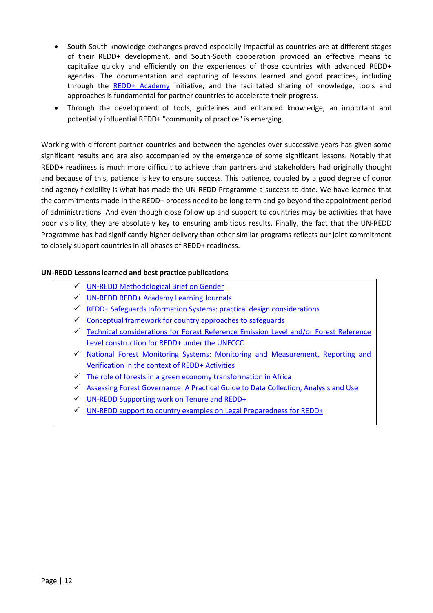- South-South knowledge exchanges proved especially impactful as countries are at different stages of their REDD+ development, and South-South cooperation provided an effective means to capitalize quickly and efficiently on the experiences of those countries with advanced REDD+ agendas. The documentation and capturing of lessons learned and good practices, including through the [REDD+ Academy](http://www.unredd.net/knowledge/redd-plus-academy.html) initiative, and the facilitated sharing of knowledge, tools and approaches is fundamental for partner countries to accelerate their progress.
- Through the development of tools, guidelines and enhanced knowledge, an important and potentially influential REDD+ "community of practice" is emerging.

Working with different partner countries and between the agencies over successive years has given some significant results and are also accompanied by the emergence of some significant lessons. Notably that REDD+ readiness is much more difficult to achieve than partners and stakeholders had originally thought and because of this, patience is key to ensure success. This patience, coupled by a good degree of donor and agency flexibility is what has made the UN-REDD Programme a success to date. We have learned that the commitments made in the REDD+ process need to be long term and go beyond the appointment period of administrations. And even though close follow up and support to countries may be activities that have poor visibility, they are absolutely key to ensuring ambitious results. Finally, the fact that the UN-REDD Programme has had significantly higher delivery than other similar programs reflects our joint commitment to closely support countries in all phases of REDD+ readiness.

# **UN-REDD Lessons learned and best practice publications**

- [UN-REDD Methodological Brief on Gender](http://www.unredd.net/documents/global-programme-191/gender-and-womens-empowerment-in-redd-1044/global-gender-resources/15951-un-redd-methodological-brief-on-gender.html)
- [UN-REDD REDD+ Academy Learning Journals](http://www.unredd.net/knowledge/redd-plus-academy.html)
- $\checkmark$  [REDD+ Safeguards Information Systems: practical design considerations](http://www.unredd.net/documents/redd-papers-and-publications-90/un-redd-publications-1191/technical-brief-series/14729-technical-brief-1-redd-safeguards-information-systems-practical-design-considerations.html)
- $\checkmark$  [Conceptual framework for country approaches to safeguards](http://www.unredd.net/documents/redd-papers-and-publications-90/16671-technical-brief-2-conceptual-framework-for-country-approaches-to-safeguards.html)
- $\checkmark$  Technical considerations for Forest Reference Emission Level and/or Forest Reference [Level construction for REDD+ under the UNFCCC](http://www.unredd.net/documents/global-programme-191/mrv-and-monitoring-296/frl/14118-technical-considerations-for-forest-reference-emission-level-andor-forest-reference-level-construction-for-redd-under-the-unfccc.html)
- [National Forest Monitoring Systems: Monitoring and Measurement, Reporting and](http://www.unredd.net/documents/global-programme-191/mrv-and-monitoring-296/10305-national-forest-monitoring-systems-monitoring-and-measurement-reporting-and-verification-m-mrv-in-the-context-of-redd-activities-10305.html)  [Verification in the context of REDD+ Activities](http://www.unredd.net/documents/global-programme-191/mrv-and-monitoring-296/10305-national-forest-monitoring-systems-monitoring-and-measurement-reporting-and-verification-m-mrv-in-the-context-of-redd-activities-10305.html)
- $\checkmark$  [The role of forests in a green economy transformation in Africa](http://www.unredd.net/documents/global-programme-191/redd-and-the-green-economy-1294/14609-the-role-of-forests-in-a-green-economy-transformation-in-africa.html)
- [Assessing Forest Governance: A Practical Guide to Data Collection, Analysis and Use](http://www.unredd.net/documents/global-programme-191/governance-452/12800-assessing-forest-governance-a-practical-guide-to-data-collection-analysis-and-use-12800.html)
- $\checkmark$  [UN-REDD Supporting work on Tenure and REDD+](http://www.unredd.net/documents/global-programme-191/governance-452/tenure-and-redd-2647/13823-unredd-supporting-work-on-tenure-and-redd-13823.html)
- $\checkmark$  [UN-REDD support to country examples on Legal Preparedness for REDD+](file://///UNREDDCH001/Users/secrieru/Documents/UN-REDD%20Programme/Monitoring%20&%20Reporting/Annual%20Reports/2017%20Annual%20Report/SNA%20Annex/UN-REDD%20support%20to%20country%20examples%20on%20Legal%20Preparedness%20for%20REDD+%20%20Send%20link)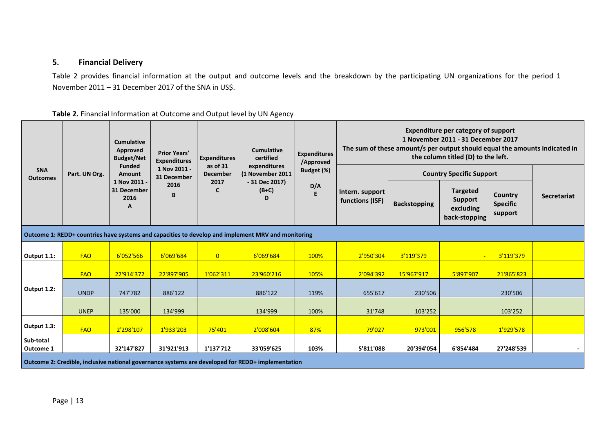# **5. Financial Delivery**

Table 2 provides financial information at the output and outcome levels and the breakdown by the participating UN organizations for the period 1 November 2011 – 31 December 2017 of the SNA in US\$.

<span id="page-12-0"></span>

|                        |                                                                                                   | <b>Cumulative</b><br>Approved<br><b>Prior Years'</b><br><b>Budget/Net</b><br><b>Expenditures</b> |                             | <b>Expenditures</b>  | Cumulative<br>certified                                                                            | <b>Expenditures</b><br>/Approved | <b>Expenditure per category of support</b><br>1 November 2011 - 31 December 2017<br>The sum of these amount/s per output should equal the amounts indicated in<br>the column titled (D) to the left. |                     |                                                          |                                       |                    |  |
|------------------------|---------------------------------------------------------------------------------------------------|--------------------------------------------------------------------------------------------------|-----------------------------|----------------------|----------------------------------------------------------------------------------------------------|----------------------------------|------------------------------------------------------------------------------------------------------------------------------------------------------------------------------------------------------|---------------------|----------------------------------------------------------|---------------------------------------|--------------------|--|
| <b>SNA</b>             | Part. UN Org.                                                                                     | <b>Funded</b><br>Amount                                                                          | 1 Nov 2011 -<br>31 December | as of 31<br>December | expenditures<br>(1 November 2011                                                                   | Budget (%)                       |                                                                                                                                                                                                      |                     | <b>Country Specific Support</b>                          |                                       |                    |  |
| <b>Outcomes</b>        |                                                                                                   | 1 Nov 2011 -<br>31 December<br>2016<br>A                                                         | 2016<br>B                   | 2017<br>C            | $-31$ Dec 2017)<br>$(B+C)$<br>D                                                                    | D/A<br>E                         | Intern. support<br>functions (ISF)                                                                                                                                                                   | <b>Backstopping</b> | <b>Targeted</b><br>Support<br>excluding<br>back-stopping | Country<br><b>Specific</b><br>support | <b>Secretariat</b> |  |
|                        |                                                                                                   |                                                                                                  |                             |                      | Outcome 1: REDD+ countries have systems and capacities to develop and implement MRV and monitoring |                                  |                                                                                                                                                                                                      |                     |                                                          |                                       |                    |  |
| Output 1.1:            | <b>FAO</b>                                                                                        | 6'052'566                                                                                        | 6'069'684                   | $\overline{0}$       | 6'069'684                                                                                          | 100%                             | 2'950'304                                                                                                                                                                                            | 3'119'379           |                                                          | 3'119'379                             |                    |  |
|                        | <b>FAO</b>                                                                                        | 22'914'372                                                                                       | 22'897'905                  | 1'062'311            | 23'960'216                                                                                         | 105%                             | 2'094'392                                                                                                                                                                                            | 15'967'917          | 5'897'907                                                | 21'865'823                            |                    |  |
| Output 1.2:            | <b>UNDP</b>                                                                                       | 747'782                                                                                          | 886'122                     |                      | 886'122                                                                                            | 119%                             | 655'617                                                                                                                                                                                              | 230'506             |                                                          | 230'506                               |                    |  |
|                        | <b>UNEP</b>                                                                                       | 135'000                                                                                          | 134'999                     |                      | 134'999                                                                                            | 100%                             | 31'748                                                                                                                                                                                               | 103'252             |                                                          | 103'252                               |                    |  |
| Output 1.3:            | <b>FAO</b>                                                                                        | 2'298'107                                                                                        | 1'933'203                   | 75'401               | 2'008'604                                                                                          | 87%                              | 79'027                                                                                                                                                                                               | 973'001             | 956'578                                                  | 1'929'578                             |                    |  |
| Sub-total<br>Outcome 1 |                                                                                                   | 32'147'827                                                                                       | 31'921'913                  | 1'137'712            | 33'059'625                                                                                         | 103%                             | 5'811'088                                                                                                                                                                                            | 20'394'054          | 6'854'484                                                | 27'248'539                            |                    |  |
|                        | Outcome 2: Credible, inclusive national governance systems are developed for REDD+ implementation |                                                                                                  |                             |                      |                                                                                                    |                                  |                                                                                                                                                                                                      |                     |                                                          |                                       |                    |  |

# **Table 2.** Financial Information at Outcome and Output level by UN Agency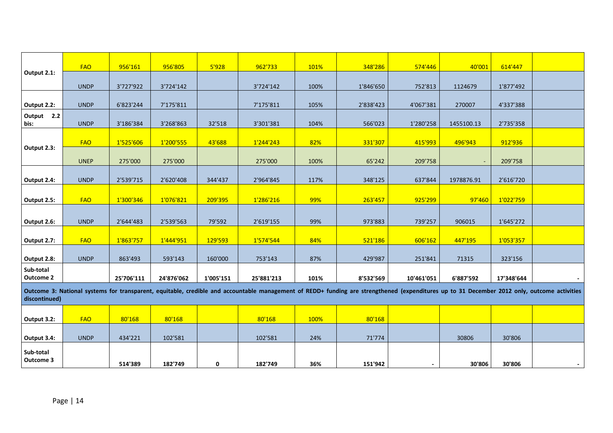|                               | <b>FAO</b>  | 956'161    | 956'805    | 5'928     | 962'733                                                                                                                                                                                     | 101% | 348'286   | 574'446    | 40'001     | 614'447    |                          |
|-------------------------------|-------------|------------|------------|-----------|---------------------------------------------------------------------------------------------------------------------------------------------------------------------------------------------|------|-----------|------------|------------|------------|--------------------------|
| Output 2.1:                   |             |            |            |           |                                                                                                                                                                                             |      |           |            |            |            |                          |
|                               | <b>UNDP</b> | 3'727'922  | 3'724'142  |           | 3'724'142                                                                                                                                                                                   | 100% | 1'846'650 | 752'813    | 1124679    | 1'877'492  |                          |
| Output 2.2:                   | <b>UNDP</b> | 6'823'244  | 7'175'811  |           | 7'175'811                                                                                                                                                                                   | 105% | 2'838'423 | 4'067'381  | 270007     | 4'337'388  |                          |
| Output 2.2<br>bis:            | <b>UNDP</b> | 3'186'384  | 3'268'863  | 32'518    | 3'301'381                                                                                                                                                                                   | 104% | 566'023   | 1'280'258  | 1455100.13 | 2'735'358  |                          |
|                               | <b>FAO</b>  | 1'525'606  | 1'200'555  | 43'688    | 1'244'243                                                                                                                                                                                   | 82%  | 331'307   | 415'993    | 496'943    | 912'936    |                          |
| Output 2.3:                   | <b>UNEP</b> | 275'000    | 275'000    |           | 275'000                                                                                                                                                                                     | 100% | 65'242    | 209'758    |            | 209'758    |                          |
| Output 2.4:                   | <b>UNDP</b> | 2'539'715  | 2'620'408  | 344'437   | 2'964'845                                                                                                                                                                                   | 117% | 348'125   | 637'844    | 1978876.91 | 2'616'720  |                          |
| Output 2.5:                   | <b>FAO</b>  | 1'300'346  | 1'076'821  | 209'395   | 1'286'216                                                                                                                                                                                   | 99%  | 263'457   | 925'299    | 97'460     | 1'022'759  |                          |
|                               |             |            |            |           |                                                                                                                                                                                             |      |           |            |            |            |                          |
| Output 2.6:                   | <b>UNDP</b> | 2'644'483  | 2'539'563  | 79'592    | 2'619'155                                                                                                                                                                                   | 99%  | 973'883   | 739'257    | 906015     | 1'645'272  |                          |
| Output 2.7:                   | <b>FAO</b>  | 1'863'757  | 1'444'951  | 129'593   | 1'574'544                                                                                                                                                                                   | 84%  | 521'186   | 606'162    | 447'195    | 1'053'357  |                          |
| Output 2.8:                   | <b>UNDP</b> | 863'493    | 593'143    | 160'000   | 753'143                                                                                                                                                                                     | 87%  | 429'987   | 251'841    | 71315      | 323'156    |                          |
| Sub-total<br><b>Outcome 2</b> |             | 25'706'111 | 24'876'062 | 1'005'151 | 25'881'213                                                                                                                                                                                  | 101% | 8'532'569 | 10'461'051 | 6'887'592  | 17'348'644 |                          |
| discontinued)                 |             |            |            |           | Outcome 3: National systems for transparent, equitable, credible and accountable management of REDD+ funding are strengthened (expenditures up to 31 December 2012 only, outcome activities |      |           |            |            |            |                          |
|                               |             |            |            |           |                                                                                                                                                                                             |      |           |            |            |            |                          |
| Output 3.2:                   | <b>FAO</b>  | 80'168     | 80'168     |           | 80'168                                                                                                                                                                                      | 100% | 80'168    |            |            |            |                          |
| Output 3.4:                   | <b>UNDP</b> | 434'221    | 102'581    |           | 102'581                                                                                                                                                                                     | 24%  | 71'774    |            | 30806      | 30'806     |                          |
| Sub-total<br>Outcome 3        |             | 514'389    | 182'749    | 0         | 182'749                                                                                                                                                                                     | 36%  | 151'942   |            | 30'806     | 30'806     | $\overline{\phantom{a}}$ |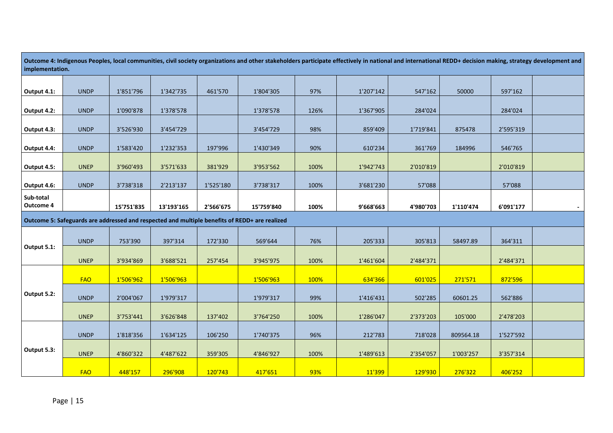| Outcome 4: Indigenous Peoples, local communities, civil society organizations and other stakeholders participate effectively in national and international REDD+ decision making, strategy development and<br>implementation. |             |            |            |           |                                                                                               |      |           |           |           |           |  |
|-------------------------------------------------------------------------------------------------------------------------------------------------------------------------------------------------------------------------------|-------------|------------|------------|-----------|-----------------------------------------------------------------------------------------------|------|-----------|-----------|-----------|-----------|--|
|                                                                                                                                                                                                                               |             |            |            |           |                                                                                               |      |           |           |           |           |  |
| Output 4.1:                                                                                                                                                                                                                   | <b>UNDP</b> | 1'851'796  | 1'342'735  | 461'570   | 1'804'305                                                                                     | 97%  | 1'207'142 | 547'162   | 50000     | 597'162   |  |
|                                                                                                                                                                                                                               |             |            |            |           |                                                                                               |      |           |           |           |           |  |
| Output 4.2:                                                                                                                                                                                                                   | <b>UNDP</b> | 1'090'878  | 1'378'578  |           | 1'378'578                                                                                     | 126% | 1'367'905 | 284'024   |           | 284'024   |  |
| Output 4.3:                                                                                                                                                                                                                   | <b>UNDP</b> | 3'526'930  | 3'454'729  |           | 3'454'729                                                                                     | 98%  | 859'409   | 1'719'841 | 875478    | 2'595'319 |  |
| Output 4.4:                                                                                                                                                                                                                   | <b>UNDP</b> | 1'583'420  | 1'232'353  | 197'996   | 1'430'349                                                                                     | 90%  | 610'234   | 361'769   | 184996    | 546'765   |  |
| Output 4.5:                                                                                                                                                                                                                   | <b>UNEP</b> | 3'960'493  | 3'571'633  | 381'929   | 3'953'562                                                                                     | 100% | 1'942'743 | 2'010'819 |           | 2'010'819 |  |
| Output 4.6:                                                                                                                                                                                                                   | <b>UNDP</b> | 3'738'318  | 2'213'137  | 1'525'180 | 3'738'317                                                                                     | 100% | 3'681'230 | 57'088    |           | 57'088    |  |
| Sub-total<br>Outcome 4                                                                                                                                                                                                        |             | 15'751'835 | 13'193'165 | 2'566'675 | 15'759'840                                                                                    | 100% | 9'668'663 | 4'980'703 | 1'110'474 | 6'091'177 |  |
|                                                                                                                                                                                                                               |             |            |            |           | Outcome 5: Safeguards are addressed and respected and multiple benefits of REDD+ are realized |      |           |           |           |           |  |
|                                                                                                                                                                                                                               |             |            |            |           |                                                                                               |      |           |           |           |           |  |
| Output 5.1:                                                                                                                                                                                                                   | <b>UNDP</b> | 753'390    | 397'314    | 172'330   | 569'644                                                                                       | 76%  | 205'333   | 305'813   | 58497.89  | 364'311   |  |
|                                                                                                                                                                                                                               | <b>UNEP</b> | 3'934'869  | 3'688'521  | 257'454   | 3'945'975                                                                                     | 100% | 1'461'604 | 2'484'371 |           | 2'484'371 |  |
|                                                                                                                                                                                                                               | <b>FAO</b>  | 1'506'962  | 1'506'963  |           | 1'506'963                                                                                     | 100% | 634'366   | 601'025   | 271'571   | 872'596   |  |
| Output 5.2:                                                                                                                                                                                                                   | <b>UNDP</b> | 2'004'067  | 1'979'317  |           | 1'979'317                                                                                     | 99%  | 1'416'431 | 502'285   | 60601.25  | 562'886   |  |
|                                                                                                                                                                                                                               | <b>UNEP</b> | 3'753'441  | 3'626'848  | 137'402   | 3'764'250                                                                                     | 100% | 1'286'047 | 2'373'203 | 105'000   | 2'478'203 |  |
|                                                                                                                                                                                                                               | <b>UNDP</b> | 1'818'356  | 1'634'125  | 106'250   | 1'740'375                                                                                     | 96%  | 212'783   | 718'028   | 809564.18 | 1'527'592 |  |
| Output 5.3:                                                                                                                                                                                                                   | <b>UNEP</b> | 4'860'322  | 4'487'622  | 359'305   | 4'846'927                                                                                     | 100% | 1'489'613 | 2'354'057 | 1'003'257 | 3'357'314 |  |
|                                                                                                                                                                                                                               | <b>FAO</b>  | 448'157    | 296'908    | 120'743   | 417'651                                                                                       | 93%  | 11'399    | 129'930   | 276'322   | 406'252   |  |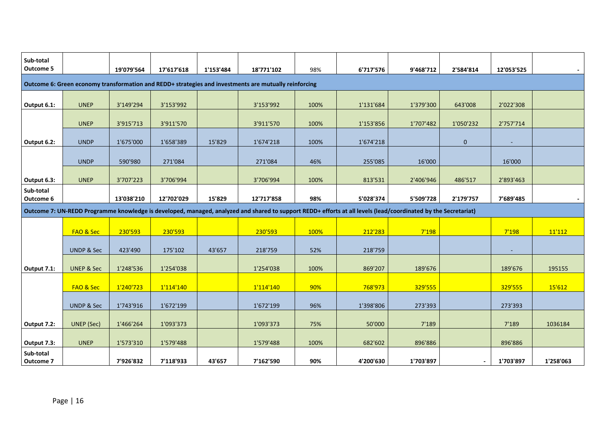| Sub-total<br><b>Outcome 5</b> |                       | 19'079'564 | 17'617'618 | 1'153'484 | 18'771'102                                                                                                                                                     | 98%  | 6'717'576 | 9'468'712 | 2'584'814      | 12'053'525 |           |
|-------------------------------|-----------------------|------------|------------|-----------|----------------------------------------------------------------------------------------------------------------------------------------------------------------|------|-----------|-----------|----------------|------------|-----------|
|                               |                       |            |            |           |                                                                                                                                                                |      |           |           |                |            |           |
|                               |                       |            |            |           | Outcome 6: Green economy transformation and REDD+ strategies and investments are mutually reinforcing                                                          |      |           |           |                |            |           |
| Output 6.1:                   | <b>UNEP</b>           | 3'149'294  | 3'153'992  |           | 3'153'992                                                                                                                                                      | 100% | 1'131'684 | 1'379'300 | 643'008        | 2'022'308  |           |
|                               | <b>UNEP</b>           | 3'915'713  | 3'911'570  |           | 3'911'570                                                                                                                                                      | 100% | 1'153'856 | 1'707'482 | 1'050'232      | 2'757'714  |           |
| Output 6.2:                   | <b>UNDP</b>           | 1'675'000  | 1'658'389  | 15'829    | 1'674'218                                                                                                                                                      | 100% | 1'674'218 |           | $\pmb{0}$      | ٠          |           |
|                               | <b>UNDP</b>           | 590'980    | 271'084    |           | 271'084                                                                                                                                                        | 46%  | 255'085   | 16'000    |                | 16'000     |           |
| Output 6.3:                   | <b>UNEP</b>           | 3'707'223  | 3'706'994  |           | 3'706'994                                                                                                                                                      | 100% | 813'531   | 2'406'946 | 486'517        | 2'893'463  |           |
| Sub-total<br>Outcome 6        |                       | 13'038'210 | 12'702'029 | 15'829    | 12'717'858                                                                                                                                                     | 98%  | 5'028'374 | 5'509'728 | 2'179'757      | 7'689'485  |           |
|                               |                       |            |            |           | Outcome 7: UN-REDD Programme knowledge is developed, managed, analyzed and shared to support REDD+ efforts at all levels (lead/coordinated by the Secretariat) |      |           |           |                |            |           |
|                               |                       |            |            |           |                                                                                                                                                                |      |           |           |                |            |           |
|                               | FAO & Sec             | 230'593    | 230'593    |           | 230'593                                                                                                                                                        | 100% | 212'283   | 7'198     |                | 7'198      | 11'112    |
|                               | <b>UNDP &amp; Sec</b> | 423'490    | 175'102    | 43'657    | 218'759                                                                                                                                                        | 52%  | 218'759   |           |                |            |           |
| Output 7.1:                   | <b>UNEP &amp; Sec</b> | 1'248'536  | 1'254'038  |           | 1'254'038                                                                                                                                                      | 100% | 869'207   | 189'676   |                | 189'676    | 195155    |
|                               | FAO & Sec             | 1'240'723  | 1'114'140  |           | 1'114'140                                                                                                                                                      | 90%  | 768'973   | 329'555   |                | 329'555    | 15'612    |
|                               | <b>UNDP &amp; Sec</b> | 1'743'916  | 1'672'199  |           | 1'672'199                                                                                                                                                      | 96%  | 1'398'806 | 273'393   |                | 273'393    |           |
| Output 7.2:                   | <b>UNEP</b> (Sec)     | 1'466'264  | 1'093'373  |           | 1'093'373                                                                                                                                                      | 75%  | 50'000    | 7'189     |                | 7'189      | 1036184   |
| Output 7.3:                   | <b>UNEP</b>           | 1'573'310  | 1'579'488  |           | 1'579'488                                                                                                                                                      | 100% | 682'602   | 896'886   |                | 896'886    |           |
| Sub-total<br>Outcome 7        |                       | 7'926'832  | 7'118'933  | 43'657    | 7'162'590                                                                                                                                                      | 90%  | 4'200'630 | 1'703'897 | $\blacksquare$ | 1'703'897  | 1'258'063 |